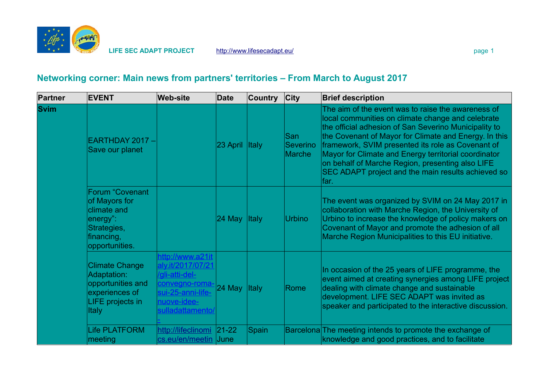

## **Networking corner: Main news from partners' territories – From March to August 2017**

| <b>Partner</b> | <b>EVENT</b>                                                                                                      | <b>Web-site</b>                                                                                                                   | <b>Date</b> | <b>Country</b> | $ $ City                  | <b>Brief description</b>                                                                                                                                                                                                                                                                                                                                                                                                                                 |
|----------------|-------------------------------------------------------------------------------------------------------------------|-----------------------------------------------------------------------------------------------------------------------------------|-------------|----------------|---------------------------|----------------------------------------------------------------------------------------------------------------------------------------------------------------------------------------------------------------------------------------------------------------------------------------------------------------------------------------------------------------------------------------------------------------------------------------------------------|
| <b>Svim</b>    | EARTHDAY 2017 -<br>Save our planet                                                                                |                                                                                                                                   | 23 April    | <b>Italy</b>   | San<br>Severino<br>Marche | The aim of the event was to raise the awareness of<br>local communities on climate change and celebrate<br>the official adhesion of San Severino Municipality to<br>the Covenant of Mayor for Climate and Energy. In this<br>framework, SVIM presented its role as Covenant of<br>Mayor for Climate and Energy territorial coordinator<br>on behalf of Marche Region, presenting also LIFE<br>SEC ADAPT project and the main results achieved so<br>far. |
|                | <b>Forum "Covenant</b><br>of Mayors for<br>climate and<br>energy":<br>Strategies,<br>financing,<br>opportunities. |                                                                                                                                   | $24$ May    | <b>Italy</b>   | <b>Urbino</b>             | The event was organized by SVIM on 24 May 2017 in<br>collaboration with Marche Region, the University of<br>Urbino to increase the knowledge of policy makers on<br>Covenant of Mayor and promote the adhesion of all<br>Marche Region Municipalities to this EU initiative.                                                                                                                                                                             |
|                | <b>Climate Change</b><br>Adaptation:<br>opportunities and<br>experiences of<br>LIFE projects in<br><b>Italy</b>   | http://www.a21it<br>aly.it/2017/07/21<br>/gli-atti-del-<br>convegno-roma-<br>sui-25-anni-life-<br>nuove-idee-<br>sulladattamento/ | $24$ May    | <b>Italy</b>   | Rome                      | In occasion of the 25 years of LIFE programme, the<br>event aimed at creating synergies among LIFE project<br>dealing with climate change and sustainable<br>development. LIFE SEC ADAPT was invited as<br>speaker and participated to the interactive discussion.                                                                                                                                                                                       |
|                | <b>Life PLATFORM</b><br>meeting                                                                                   | http://lifeclinomi<br>cs.eu/en/meetin June                                                                                        | $ 21-22 $   | <b>Spain</b>   |                           | Barcelona The meeting intends to promote the exchange of<br>knowledge and good practices, and to facilitate                                                                                                                                                                                                                                                                                                                                              |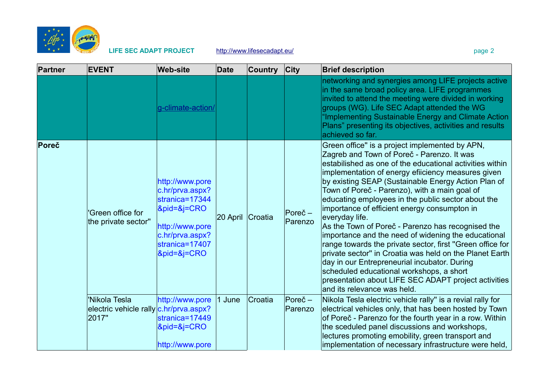

| <b>Partner</b> | <b>EVENT</b>                                                     | <b>Web-site</b>                                                                                                                                    | <b>Date</b> | <b>Country</b> | $ $ City                     | <b>Brief description</b>                                                                                                                                                                                                                                                                                                                                                                                                                                                                                                                                                                                                                                                                                                                                                                                                                                              |
|----------------|------------------------------------------------------------------|----------------------------------------------------------------------------------------------------------------------------------------------------|-------------|----------------|------------------------------|-----------------------------------------------------------------------------------------------------------------------------------------------------------------------------------------------------------------------------------------------------------------------------------------------------------------------------------------------------------------------------------------------------------------------------------------------------------------------------------------------------------------------------------------------------------------------------------------------------------------------------------------------------------------------------------------------------------------------------------------------------------------------------------------------------------------------------------------------------------------------|
|                |                                                                  | g-climate-action/                                                                                                                                  |             |                |                              | networking and synergies among LIFE projects active<br>in the same broad policy area. LIFE programmes<br>invited to attend the meeting were divided in working<br>groups (WG). Life SEC Adapt attended the WG<br>"Implementing Sustainable Energy and Climate Action<br>Plans" presenting its objectives, activities and results<br>achieved so far.                                                                                                                                                                                                                                                                                                                                                                                                                                                                                                                  |
| Poreč          | 'Green office for<br>the private sector"                         | http://www.pore<br>c.hr/prva.aspx?<br>stranica=17344<br>$\&$ pid=&j=CRO<br>http://www.pore<br>c.hr/prva.aspx?<br>stranica=17407<br>$\&$ pid=&j=CRO | 20 April    | Croatia        | Pore <sub>c</sub><br>Parenzo | Green office" is a project implemented by APN,<br>Zagreb and Town of Poreč - Parenzo. It was<br>estabilished as one of the educational activities within<br>implementation of energy efficiency measures given<br>by existing SEAP (Sustainable Energy Action Plan of<br>Town of Poreč - Parenzo), with a main goal of<br>educating employees in the public sector about the<br>importance of efficient energy consumpton in<br>everyday life.<br>As the Town of Poreč - Parenzo has recognised the<br>importance and the need of widening the educational<br>range towards the private sector, first "Green office for<br>private sector" in Croatia was held on the Planet Earth<br>day in our Entrepreneurial incubator. During<br>scheduled educational workshops, a short<br>presentation about LIFE SEC ADAPT project activities<br>and its relevance was held. |
|                | 'Nikola Tesla<br>electric vehicle rally c.hr/prva.aspx?<br>2017" | http://www.pore<br>stranica=17449<br>$&$ pid= $&$ j=CRO<br>http://www.pore                                                                         | 1 June      | Croatia        | $Porec -$<br>Parenzo         | Nikola Tesla electric vehicle rally" is a revial rally for<br>electrical vehicles only, that has been hosted by Town<br>of Poreč - Parenzo for the fourth year in a row. Within<br>the sceduled panel discussions and workshops,<br>lectures promoting emobility, green transport and<br>implementation of necessary infrastructure were held,                                                                                                                                                                                                                                                                                                                                                                                                                                                                                                                        |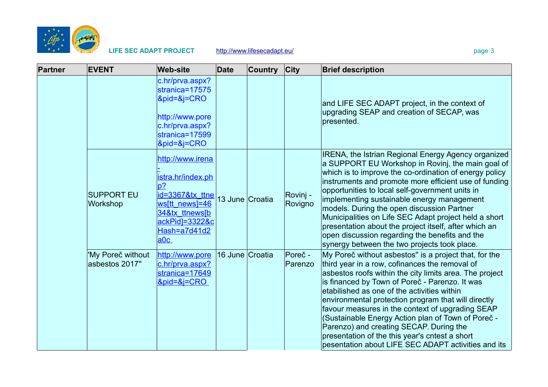

| <b>Partner</b> | <b>EVENT</b>                        | <b>Web-site</b>                                                                                                                                | <b>Date</b>     | <b>Country</b>  | <b>City</b>         | <b>Brief description</b>                                                                                                                                                                                                                                                                                                                                                                                                                                                                                                                                                                              |
|----------------|-------------------------------------|------------------------------------------------------------------------------------------------------------------------------------------------|-----------------|-----------------|---------------------|-------------------------------------------------------------------------------------------------------------------------------------------------------------------------------------------------------------------------------------------------------------------------------------------------------------------------------------------------------------------------------------------------------------------------------------------------------------------------------------------------------------------------------------------------------------------------------------------------------|
|                |                                     | c.hr/prva.aspx?<br>stranica=17575<br>&pid=&j=CRO<br>http://www.pore<br>c.hr/prva.aspx?<br>stranica=17599<br>$&$ pid= $&$ j= $CRO$              |                 |                 |                     | and LIFE SEC ADAPT project, in the context of<br>upgrading SEAP and creation of SECAP, was<br>presented.                                                                                                                                                                                                                                                                                                                                                                                                                                                                                              |
|                | <b>SUPPORT EU</b><br>Workshop       | http://www.irena<br>istra.hr/index.ph<br>$p$ ?<br>id=3367&tx_ttne<br>ws[tt_news]=46<br>34&tx ttnews[b<br>ackPid]=3322&c<br>Hash=a7d41d2<br>a0c |                 | 13 June Croatia | Rovinj -<br>Rovigno | <b>IRENA, the Istrian Regional Energy Agency organized</b><br>a SUPPORT EU Workshop in Rovinj, the main goal of<br>which is to improve the co-ordination of energy policy<br>instruments and promote more efficient use of funding<br>opportunities to local self-government units in<br>implementing sustainable energy management<br>models. During the open discussion Partner<br>Municipalities on Life SEC Adapt project held a short<br>presentation about the project itself, after which an<br>open discussion regarding the benefits and the<br>synergy between the two projects took place. |
|                | 'My Poreč without<br>asbestos 2017" | http://www.pore<br>c.hr/prva.aspx?<br>stranica=17649<br>$&$ pid= $&$ i=CRO                                                                     | 16 June Croatia |                 | Poreč -<br>Parenzo  | My Poreč without asbestos" is a project that, for the<br>third year in a row, cofinances the removal of<br>asbestos roofs within the city limits area. The project<br>is financed by Town of Poreč - Parenzo. It was<br>etabilished as one of the activities within<br>environmental protection program that will directly<br>favour measures in the context of upgrading SEAP<br>(Sustainable Energy Action plan of Town of Poreč -<br>Parenzo) and creating SECAP. During the<br>presentation of the this year's cntest a short<br>pesentation about LIFE SEC ADAPT activities and its              |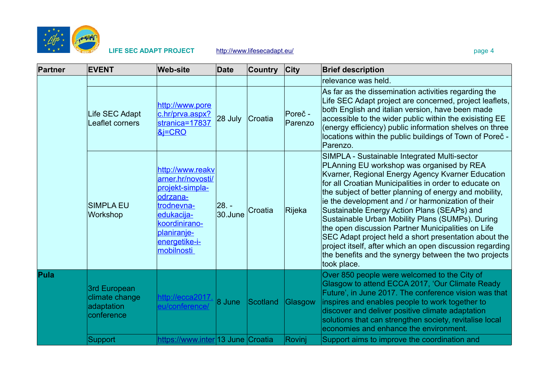

| Partner | <b>EVENT</b>                                               | <b>Web-site</b>                                                                                                                                                 | <b>Date</b>      | <b>Country</b> | <b>City</b>        | <b>Brief description</b>                                                                                                                                                                                                                                                                                                                                                                                                                                                                                                                                                                                                                                                       |
|---------|------------------------------------------------------------|-----------------------------------------------------------------------------------------------------------------------------------------------------------------|------------------|----------------|--------------------|--------------------------------------------------------------------------------------------------------------------------------------------------------------------------------------------------------------------------------------------------------------------------------------------------------------------------------------------------------------------------------------------------------------------------------------------------------------------------------------------------------------------------------------------------------------------------------------------------------------------------------------------------------------------------------|
|         |                                                            |                                                                                                                                                                 |                  |                |                    | relevance was held.                                                                                                                                                                                                                                                                                                                                                                                                                                                                                                                                                                                                                                                            |
|         | Life SEC Adapt<br>Leaflet corners                          | http://www.pore<br>c.hr/prva.aspx?<br>stranica=17837<br><u>&amp;j=CRO</u>                                                                                       | 28 July          | Croatia        | Poreč -<br>Parenzo | As far as the dissemination activities regarding the<br>Life SEC Adapt project are concerned, project leaflets,<br>both English and italian version, have been made<br>accessible to the wider public within the exisisting EE<br>(energy efficiency) public information shelves on three<br>locations within the public buildings of Town of Poreč -<br>Parenzo.                                                                                                                                                                                                                                                                                                              |
|         | <b>SIMPLA EU</b><br>Workshop                               | http://www.reakv<br>arner.hr/novosti/<br>projekt-simpla-<br>odrzana-<br>trodnevna-<br>edukacija-<br>koordinirano-<br>planiranje-<br>energetike-i-<br>mobilnosti | 28. -<br>30.June | Croatia        | <b>Rijeka</b>      | SIMPLA - Sustainable Integrated Multi-sector<br>PLAnning EU workshop was organised by REA<br>Kvarner, Regional Energy Agency Kvarner Education<br>for all Croatian Municipalities in order to educate on<br>the subject of better planning of energy and mobility,<br>ie the development and / or harmonization of their<br>Sustainable Energy Action Plans (SEAPs) and<br>Sustainable Urban Mobility Plans (SUMPs). During<br>the open discussion Partner Municipalities on Life<br>SEC Adapt project held a short presentation about the<br>project itself, after which an open discussion regarding<br>the benefits and the synergy between the two projects<br>took place. |
| Pula    | 3rd European<br>climate change<br>adaptation<br>conference | http://ecca2017.<br>eu/conference/                                                                                                                              | 8 June           | Scotland       | Glasgow            | Over 850 people were welcomed to the City of<br>Glasgow to attend ECCA 2017, 'Our Climate Ready<br>Future', in June 2017. The conference vision was that<br>inspires and enables people to work together to<br>discover and deliver positive climate adaptation<br>solutions that can strengthen society, revitalise local<br>economies and enhance the environment.                                                                                                                                                                                                                                                                                                           |
|         | Support                                                    | https://www.inter 13 June Croatia                                                                                                                               |                  |                | Rovinj             | Support aims to improve the coordination and                                                                                                                                                                                                                                                                                                                                                                                                                                                                                                                                                                                                                                   |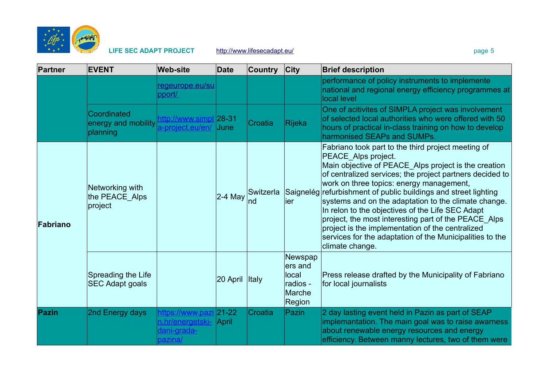

| <b>Partner</b> | <b>EVENT</b>                                   | <b>Web-site</b>                                                | <b>Date</b>        | <b>Country</b>  | $ $ City                                                    | <b>Brief description</b>                                                                                                                                                                                                                                                                                                                                                                                                                                                                                                                                                                                            |
|----------------|------------------------------------------------|----------------------------------------------------------------|--------------------|-----------------|-------------------------------------------------------------|---------------------------------------------------------------------------------------------------------------------------------------------------------------------------------------------------------------------------------------------------------------------------------------------------------------------------------------------------------------------------------------------------------------------------------------------------------------------------------------------------------------------------------------------------------------------------------------------------------------------|
|                |                                                | regeurope.eu/su<br>pport/                                      |                    |                 |                                                             | performance of policy instruments to implemente<br>national and regional energy efficiency programmes at<br>local level                                                                                                                                                                                                                                                                                                                                                                                                                                                                                             |
|                | Coordinated<br>energy and mobility<br>planning | http://www.simpl 28-31<br>a-project.eu/en/                     | June               | Croatia         | <b>Rijeka</b>                                               | One of acitivites of SIMPLA project was involvement<br>of selected local authorities who were offered with 50<br>hours of practical in-class training on how to develop<br>harmonised SEAPs and SUMPs.                                                                                                                                                                                                                                                                                                                                                                                                              |
| Fabriano       | Networking with<br>the PEACE_Alps<br>project   |                                                                | $2-4$ May          | Switzerla<br>nd | lier                                                        | Fabriano took part to the third project meeting of<br>PEACE_Alps project.<br>Main objective of PEACE_Alps project is the creation<br>of centralized services; the project partners decided to<br>work on three topics: energy management,<br>Saignelég refurbishment of public buildings and street lighting<br>systems and on the adaptation to the climate change.<br>In relon to the objectives of the Life SEC Adapt<br>project, the most interesting part of the PEACE Alps<br>project is the implementation of the centralized<br>services for the adaptation of the Municipalities to the<br>climate change. |
|                | Spreading the Life<br><b>SEC Adapt goals</b>   |                                                                | 20 April           | <b>Italy</b>    | Newspap<br>ers and<br>local<br>radios -<br>Marche<br>Region | Press release drafted by the Municipality of Fabriano<br>for local journalists                                                                                                                                                                                                                                                                                                                                                                                                                                                                                                                                      |
| Pazin          | 2nd Energy days                                | https://www.pazi<br>n.hr/energetski-<br>dani-grada-<br>pazina/ | $ 21-22 $<br>April | Croatia         | Pazin                                                       | 2 day lasting event held in Pazin as part of SEAP<br>implemantation. The main goal was to raise awarness<br>about renewable energy resources and energy<br>efficiency. Between manny lectures, two of them were                                                                                                                                                                                                                                                                                                                                                                                                     |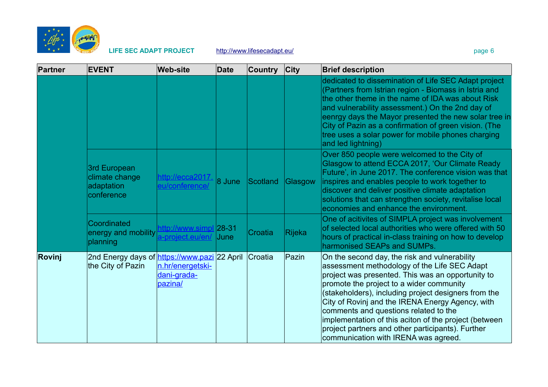

| Partner | <b>EVENT</b>                                                      | <b>Web-site</b>                            | <b>Date</b>      | <b>Country</b> | <b>City</b>   | <b>Brief description</b>                                                                                                                                                                                                                                                                                                                                                                                                                                                                                  |
|---------|-------------------------------------------------------------------|--------------------------------------------|------------------|----------------|---------------|-----------------------------------------------------------------------------------------------------------------------------------------------------------------------------------------------------------------------------------------------------------------------------------------------------------------------------------------------------------------------------------------------------------------------------------------------------------------------------------------------------------|
|         |                                                                   |                                            |                  |                |               | dedicated to dissemination of Life SEC Adapt project<br>(Partners from Istrian region - Biomass in Istria and<br>the other theme in the name of IDA was about Risk<br>and vulnerability assessment.) On the 2nd day of<br>eenrgy days the Mayor presented the new solar tree in<br>City of Pazin as a confirmation of green vision. (The<br>tree uses a solar power for mobile phones charging<br>and led lightning)                                                                                      |
|         | 3rd European<br>climate change<br>adaptation<br>conference        | http://ecca2017.<br>eu/conference/         | 8 June           | Scotland       | Glasgow       | Over 850 people were welcomed to the City of<br>Glasgow to attend ECCA 2017, 'Our Climate Ready<br>Future', in June 2017. The conference vision was that<br>inspires and enables people to work together to<br>discover and deliver positive climate adaptation<br>solutions that can strengthen society, revitalise local<br>economies and enhance the environment.                                                                                                                                      |
|         | Coordinated<br>energy and mobility<br>planning                    | http://www.simpl<br>a-project.eu/en/       | $ 28-31$<br>June | Croatia        | <b>Rijeka</b> | One of acitivites of SIMPLA project was involvement<br>of selected local authorities who were offered with 50<br>hours of practical in-class training on how to develop<br>harmonised SEAPs and SUMPs.                                                                                                                                                                                                                                                                                                    |
| Rovinj  | 2nd Energy days of https://www.pazi 22 April<br>the City of Pazin | n.hr/energetski-<br>dani-grada-<br>pazina/ |                  | Croatia        | Pazin         | On the second day, the risk and vulnerability<br>assessment methodology of the Life SEC Adapt<br>project was presented. This was an opportunity to<br>promote the project to a wider community<br>(stakeholders), including project designers from the<br>City of Rovinj and the IRENA Energy Agency, with<br>comments and questions related to the<br>implementation of this aciton of the project (between<br>project partners and other participants). Further<br>communication with IRENA was agreed. |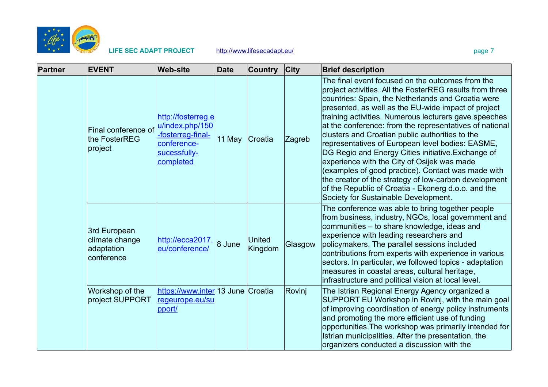

| Partner | <b>EVENT</b>                                               | <b>Web-site</b>                                                                                        | <b>Date</b> | <b>Country</b>    | $ $ City | <b>Brief description</b>                                                                                                                                                                                                                                                                                                                                                                                                                                                                                                                                                                                                                                                                                                                                                |
|---------|------------------------------------------------------------|--------------------------------------------------------------------------------------------------------|-------------|-------------------|----------|-------------------------------------------------------------------------------------------------------------------------------------------------------------------------------------------------------------------------------------------------------------------------------------------------------------------------------------------------------------------------------------------------------------------------------------------------------------------------------------------------------------------------------------------------------------------------------------------------------------------------------------------------------------------------------------------------------------------------------------------------------------------------|
|         | Final conference of<br>the FosterREG<br> project           | http://fosterreg.e<br>u/index.php/150<br>-fosterreg-final-<br>conference-<br>sucessfully-<br>completed | 11 May      | Croatia           | Zagreb   | The final event focused on the outcomes from the<br>project activities. All the FosterREG results from three<br>countries: Spain, the Netherlands and Croatia were<br>presented, as well as the EU-wide impact of project<br>training activities. Numerous lecturers gave speeches<br>at the conference: from the representatives of national<br>clusters and Croatian public authorities to the<br>representatives of European level bodies: EASME,<br>DG Regio and Energy Cities initiative. Exchange of<br>experience with the City of Osijek was made<br>(examples of good practice). Contact was made with<br>the creator of the strategy of low-carbon development<br>of the Republic of Croatia - Ekonerg d.o.o. and the<br>Society for Sustainable Development. |
|         | 3rd European<br>climate change<br>adaptation<br>conference | http://ecca2017.<br>eu/conference/                                                                     | 8 June      | United<br>Kingdom | Glasgow  | The conference was able to bring together people<br>from business, industry, NGOs, local government and<br>communities - to share knowledge, ideas and<br>experience with leading researchers and<br>policymakers. The parallel sessions included<br>contributions from experts with experience in various<br>sectors. In particular, we followed topics - adaptation<br>measures in coastal areas, cultural heritage,<br>infrastructure and political vision at local level.                                                                                                                                                                                                                                                                                           |
|         | Workshop of the<br>project SUPPORT                         | https://www.inter 13 June Croatia<br>regeurope.eu/su<br>pport/                                         |             |                   | Rovinj   | The Istrian Regional Energy Agency organized a<br>SUPPORT EU Workshop in Rovinj, with the main goal<br>of improving coordination of energy policy instruments<br>and promoting the more efficient use of funding<br>opportunities. The workshop was primarily intended for<br>Istrian municipalities. After the presentation, the<br>organizers conducted a discussion with the                                                                                                                                                                                                                                                                                                                                                                                         |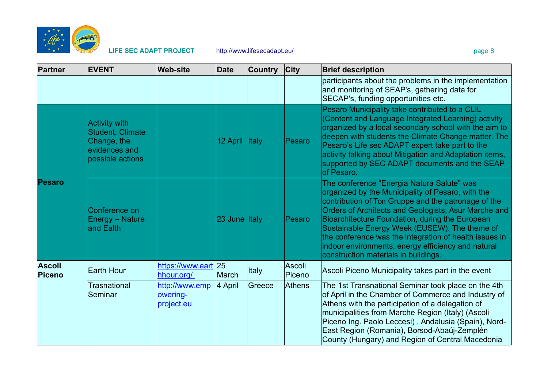

| <b>Partner</b>          | <b>EVENT</b>                                                                                        | <b>Web-site</b>                          | <b>Date</b>   | <b>Country</b> | $ $ City         | <b>Brief description</b>                                                                                                                                                                                                                                                                                                                                                                                                                                                   |
|-------------------------|-----------------------------------------------------------------------------------------------------|------------------------------------------|---------------|----------------|------------------|----------------------------------------------------------------------------------------------------------------------------------------------------------------------------------------------------------------------------------------------------------------------------------------------------------------------------------------------------------------------------------------------------------------------------------------------------------------------------|
|                         |                                                                                                     |                                          |               |                |                  | participants about the problems in the implementation<br>and monitoring of SEAP's, gathering data for<br>SECAP's, funding opportunities etc.                                                                                                                                                                                                                                                                                                                               |
|                         | <b>Activity with</b><br><b>Student: Climate</b><br>Change, the<br>evidences and<br>possible actions |                                          | 12 April      | <b>Italy</b>   | Pesaro           | Pesaro Municipality take contributed to a CLIL<br>(Content and Language Integrated Learning) activity<br>organized by a local secondary school with the aim to<br>deepen with students the Climate Change matter. The<br>Pesaro's Life sec ADAPT expert take part to the<br>activity talking about Mitigation and Adaptation items,<br>supported by SEC ADAPT documents and the SEAP<br>of Pesaro.                                                                         |
| Pesaro                  | Conference on<br><b>Energy - Nature</b><br>and Ealth                                                |                                          | 23 June Italy |                | Pesaro           | The conference "Energia Natura Salute" was<br>organized by the Municipality of Pesaro, with the<br>contribution of Ton Gruppe and the patronage of the<br>Orders of Architects and Geologists, Asur Marche and<br>Bioarchitecture Foundation, during the European<br>Sustainable Energy Week (EUSEW). The theme of<br>the conference was the integration of health issues in<br>indoor environments, energy efficiency and natural<br>construction materials in buildings. |
| <b>Ascoli</b><br>Piceno | <b>Earth Hour</b>                                                                                   | https://www.eart 25<br>hhour.org/        | March         | <b>Italy</b>   | Ascoli<br>Piceno | Ascoli Piceno Municipality takes part in the event                                                                                                                                                                                                                                                                                                                                                                                                                         |
|                         | <b>Trasnational</b><br>Seminar                                                                      | http://www.emp<br>owering-<br>project.eu | 4 April       | Greece         | Athens           | The 1st Transnational Seminar took place on the 4th<br>of April in the Chamber of Commerce and Industry of<br>Athens with the participation of a delegation of<br>municipalities from Marche Region (Italy) (Ascoli<br>Piceno Ing. Paolo Leccesi), Andalusia (Spain), Nord-<br>East Region (Romania), Borsod-Abaúj-Zemplén<br>County (Hungary) and Region of Central Macedonia                                                                                             |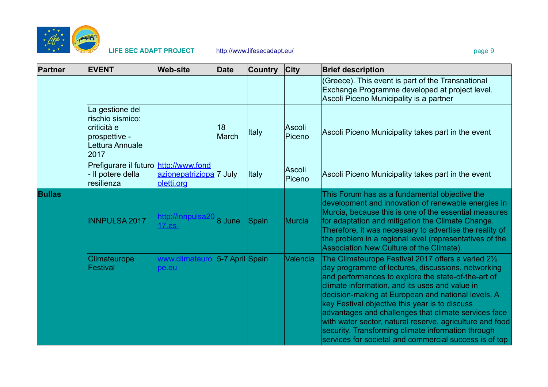

| Partner       | <b>EVENT</b>                                                                                   | <b>Web-site</b>                       | <b>Date</b>        | <b>Country</b> | $ $ City         | <b>Brief description</b>                                                                                                                                                                                                                                                                                                                                                                                                                                                                                                                                       |
|---------------|------------------------------------------------------------------------------------------------|---------------------------------------|--------------------|----------------|------------------|----------------------------------------------------------------------------------------------------------------------------------------------------------------------------------------------------------------------------------------------------------------------------------------------------------------------------------------------------------------------------------------------------------------------------------------------------------------------------------------------------------------------------------------------------------------|
|               |                                                                                                |                                       |                    |                |                  | (Greece). This event is part of the Transnational<br>Exchange Programme developed at project level.<br>Ascoli Piceno Municipality is a partner                                                                                                                                                                                                                                                                                                                                                                                                                 |
|               | La gestione del<br>rischio sismico:<br>criticità e<br>prospettive -<br>Lettura Annuale<br>2017 |                                       | 18<br>March        | Italy          | Ascoli<br>Piceno | Ascoli Piceno Municipality takes part in the event                                                                                                                                                                                                                                                                                                                                                                                                                                                                                                             |
|               | Prefigurare il futuro http://www.fond<br>- Il potere della<br>resilienza                       | azionepatriziopa 7 July<br>oletti.org |                    | Italy          | Ascoli<br>Piceno | Ascoli Piceno Municipality takes part in the event                                                                                                                                                                                                                                                                                                                                                                                                                                                                                                             |
| <b>Bullas</b> | <b>INNPULSA 2017</b>                                                                           | http://innpulsa20<br>$17.$ es         | 8 June             | Spain          | Murcia           | This Forum has as a fundamental objective the<br>development and innovation of renewable energies in<br>Murcia, because this is one of the essential measures<br>for adaptation and mitigation the Climate Change.<br>Therefore, it was necessary to advertise the reality of<br>the problem in a regional level (representatives of the<br>Association New Culture of the Climate).                                                                                                                                                                           |
|               | Climateurope<br>Festival                                                                       | www.climateuro<br>pe.eu               | $ 5-7$ April Spain |                | Valencia         | The Climateurope Festival 2017 offers a varied 21/2<br>day programme of lectures, discussions, networking<br>and performances to explore the state-of-the-art of<br>climate information, and its uses and value in<br>decision-making at European and national levels. A<br>key Festival objective this year is to discuss<br>advantages and challenges that climate services face<br>with water sector, natural reserve, agriculture and food<br>security. Transforming climate information through<br>services for societal and commercial success is of top |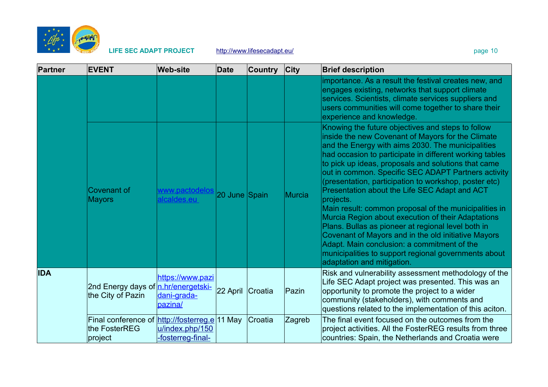

| Partner    | <b>EVENT</b>                                                              | <b>Web-site</b>                            | Date             | <b>Country</b> | $ $ City      | <b>Brief description</b>                                                                                                                                                                                                                                                                                                                                                                                                                                                                                                                                                                                                                                                                                                                                                                                                     |
|------------|---------------------------------------------------------------------------|--------------------------------------------|------------------|----------------|---------------|------------------------------------------------------------------------------------------------------------------------------------------------------------------------------------------------------------------------------------------------------------------------------------------------------------------------------------------------------------------------------------------------------------------------------------------------------------------------------------------------------------------------------------------------------------------------------------------------------------------------------------------------------------------------------------------------------------------------------------------------------------------------------------------------------------------------------|
|            |                                                                           |                                            |                  |                |               | importance. As a result the festival creates new, and<br>engages existing, networks that support climate<br>services. Scientists, climate services suppliers and<br>users communities will come together to share their<br>experience and knowledge.                                                                                                                                                                                                                                                                                                                                                                                                                                                                                                                                                                         |
|            | <b>Covenant of</b><br><b>Mayors</b>                                       | www.pactodelos<br>alcaldes.eu              | 20 June Spain    |                | <b>Murcia</b> | Knowing the future objectives and steps to follow<br>inside the new Covenant of Mayors for the Climate<br>and the Energy with aims 2030. The municipalities<br>had occasion to participate in different working tables<br>to pick up ideas, proposals and solutions that came<br>out in common. Specific SEC ADAPT Partners activity<br>(presentation, participation to workshop, poster etc)<br>Presentation about the Life SEC Adapt and ACT<br>projects.<br>Main result: common proposal of the municipalities in<br>Murcia Region about execution of their Adaptations<br>Plans. Bullas as pioneer at regional level both in<br>Covenant of Mayors and in the old initiative Mayors<br>Adapt. Main conclusion: a commitment of the<br>municipalities to support regional governments about<br>adaptation and mitigation. |
| <b>IDA</b> | 2nd Energy days of n.hr/energetski-<br>the City of Pazin                  | https://www.pazi<br>dani-grada-<br>bazina/ | 22 April Croatia |                | Pazin         | Risk and vulnerability assessment methodology of the<br>Life SEC Adapt project was presented. This was an<br>opportunity to promote the project to a wider<br>community (stakeholders), with comments and<br>questions related to the implementation of this aciton.                                                                                                                                                                                                                                                                                                                                                                                                                                                                                                                                                         |
|            | Final conference of http://fosterreg.e 11 May<br>the FosterREG<br>project | u/index.php/150<br>-fosterreg-final-       |                  | Croatia        | Zagreb        | The final event focused on the outcomes from the<br>project activities. All the FosterREG results from three<br>countries: Spain, the Netherlands and Croatia were                                                                                                                                                                                                                                                                                                                                                                                                                                                                                                                                                                                                                                                           |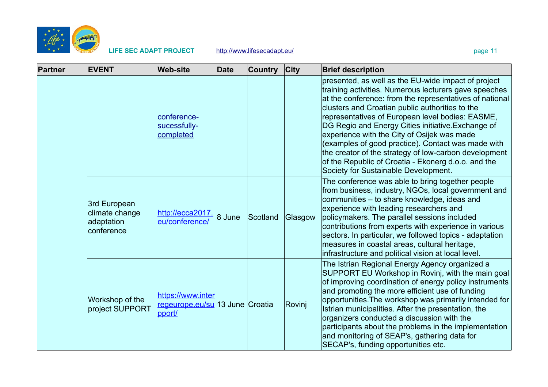

| Partner | <b>EVENT</b>                                               | <b>Web-site</b>                                                | Date     | <b>Country</b> | <b>City</b> | <b>Brief description</b>                                                                                                                                                                                                                                                                                                                                                                                                                                                                                                                                                                          |
|---------|------------------------------------------------------------|----------------------------------------------------------------|----------|----------------|-------------|---------------------------------------------------------------------------------------------------------------------------------------------------------------------------------------------------------------------------------------------------------------------------------------------------------------------------------------------------------------------------------------------------------------------------------------------------------------------------------------------------------------------------------------------------------------------------------------------------|
|         |                                                            | conference-<br>sucessfully-<br>completed                       |          |                |             | presented, as well as the EU-wide impact of project<br>training activities. Numerous lecturers gave speeches<br>at the conference: from the representatives of national<br>clusters and Croatian public authorities to the<br>representatives of European level bodies: EASME,<br>DG Regio and Energy Cities initiative. Exchange of<br>experience with the City of Osijek was made<br>(examples of good practice). Contact was made with<br>the creator of the strategy of low-carbon development<br>of the Republic of Croatia - Ekonerg d.o.o. and the<br>Society for Sustainable Development. |
|         | 3rd European<br>climate change<br>adaptation<br>conference | http://ecca2017.<br>eu/conference/                             | $8$ June | Scotland       | Glasgow     | The conference was able to bring together people<br>from business, industry, NGOs, local government and<br>communities - to share knowledge, ideas and<br>experience with leading researchers and<br>policymakers. The parallel sessions included<br>contributions from experts with experience in various<br>sectors. In particular, we followed topics - adaptation<br>measures in coastal areas, cultural heritage,<br>infrastructure and political vision at local level.                                                                                                                     |
|         | Workshop of the<br>project SUPPORT                         | https://www.inter<br>regeurope.eu/su 13 June Croatia<br>pport/ |          |                | Rovinj      | The Istrian Regional Energy Agency organized a<br>SUPPORT EU Workshop in Rovinj, with the main goal<br>of improving coordination of energy policy instruments<br>and promoting the more efficient use of funding<br>opportunities. The workshop was primarily intended for<br>Istrian municipalities. After the presentation, the<br>organizers conducted a discussion with the<br>participants about the problems in the implementation<br>and monitoring of SEAP's, gathering data for<br>SECAP's, funding opportunities etc.                                                                   |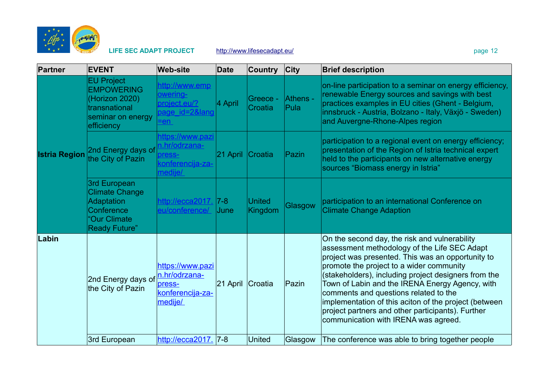

| Partner              | <b>EVENT</b>                                                                                                     | <b>Web-site</b>                                                            | <b>Date</b>            | <b>Country</b>           | City             | <b>Brief description</b>                                                                                                                                                                                                                                                                                                                                                                                                                                                                                 |
|----------------------|------------------------------------------------------------------------------------------------------------------|----------------------------------------------------------------------------|------------------------|--------------------------|------------------|----------------------------------------------------------------------------------------------------------------------------------------------------------------------------------------------------------------------------------------------------------------------------------------------------------------------------------------------------------------------------------------------------------------------------------------------------------------------------------------------------------|
| <b>Istria Region</b> | <b>EU Project</b><br><b>EMPOWERING</b><br>(Horizon 2020)<br>transnational<br>seminar on energy<br>efficiency     | http://www.emp<br>owering-<br>project.eu/?<br>page id=2⟨<br>$= en$         | 4 April                | Greece -<br>Croatia      | Athens -<br>Pula | on-line participation to a seminar on energy efficiency,<br>renewable Energy sources and savings with best<br>practices examples in EU cities (Ghent - Belgium,<br>innsbruck - Austria, Bolzano - Italy, Växjö - Sweden)<br>and Auvergne-Rhone-Alpes region                                                                                                                                                                                                                                              |
|                      | 2nd Energy days of<br>the City of Pazin                                                                          | https://www.pazi<br>n.hr/odrzana-<br>press-<br>konferencija-za-<br>medije/ | 21 April               | Croatia                  | Pazin            | participation to a regional event on energy efficiency;<br>presentation of the Region of Istria technical expert<br>held to the participants on new alternative energy<br>sources "Biomass energy in Istria"                                                                                                                                                                                                                                                                                             |
|                      | 3rd European<br><b>Climate Change</b><br><b>Adaptation</b><br>Conference<br>"Our Climate<br><b>Ready Future"</b> | http://ecca2017.<br>eu/conference/                                         | $ 7-8 $<br><b>June</b> | <b>United</b><br>Kingdom | Glasgow          | participation to an international Conference on<br><b>Climate Change Adaption</b>                                                                                                                                                                                                                                                                                                                                                                                                                        |
| Labin                | 2nd Energy days of<br>the City of Pazin                                                                          | https://www.pazi<br>n.hr/odrzana-<br>press-<br>konferencija-za-<br>medije/ | $ 21$ April            | Croatia                  | Pazin            | On the second day, the risk and vulnerability<br>assessment methodology of the Life SEC Adapt<br>project was presented. This was an opportunity to<br>promote the project to a wider community<br>(stakeholders), including project designers from the<br>Town of Labin and the IRENA Energy Agency, with<br>comments and questions related to the<br>implementation of this aciton of the project (between<br>project partners and other participants). Further<br>communication with IRENA was agreed. |
|                      | 3rd European                                                                                                     | http://ecca2017.                                                           | $ 7-8 $                | <b>United</b>            | Glasgow          | The conference was able to bring together people                                                                                                                                                                                                                                                                                                                                                                                                                                                         |